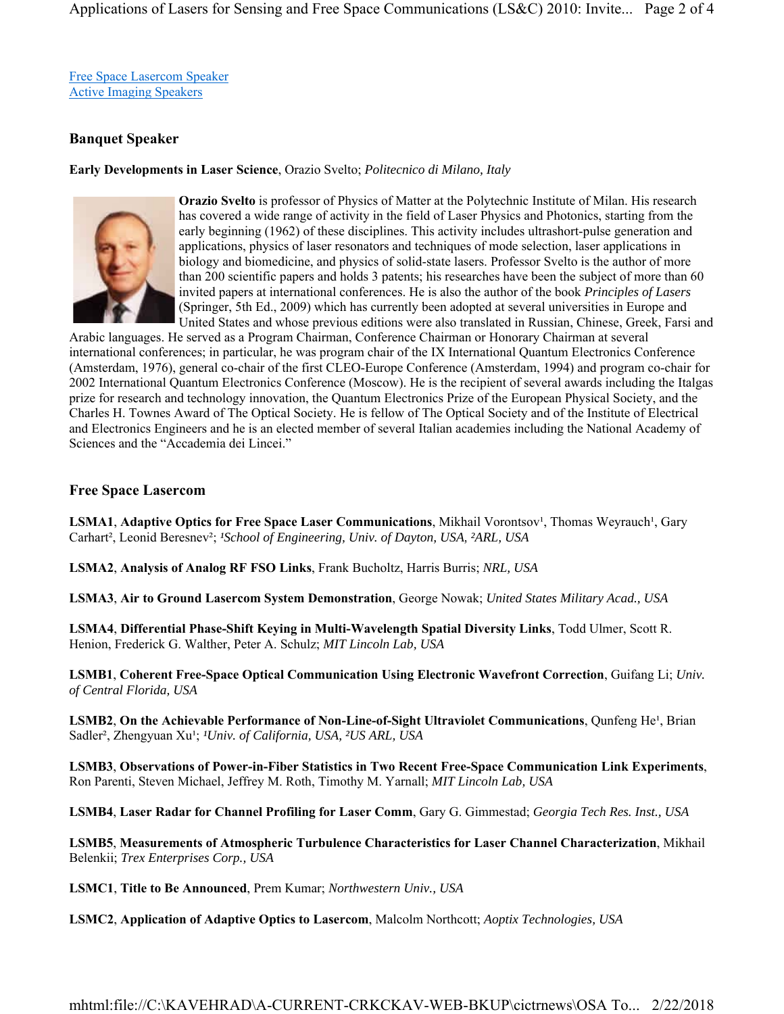Free Space Lasercom Speaker Active Imaging Speakers

## **Banquet Speaker**

## **Early Developments in Laser Science**, Orazio Svelto; *Politecnico di Milano, Italy*



**Orazio Svelto** is professor of Physics of Matter at the Polytechnic Institute of Milan. His research has covered a wide range of activity in the field of Laser Physics and Photonics, starting from the early beginning (1962) of these disciplines. This activity includes ultrashort-pulse generation and applications, physics of laser resonators and techniques of mode selection, laser applications in biology and biomedicine, and physics of solid-state lasers. Professor Svelto is the author of more than 200 scientific papers and holds 3 patents; his researches have been the subject of more than 60 invited papers at international conferences. He is also the author of the book *Principles of Lasers* (Springer, 5th Ed., 2009) which has currently been adopted at several universities in Europe and United States and whose previous editions were also translated in Russian, Chinese, Greek, Farsi and

Arabic languages. He served as a Program Chairman, Conference Chairman or Honorary Chairman at several international conferences; in particular, he was program chair of the IX International Quantum Electronics Conference (Amsterdam, 1976), general co-chair of the first CLEO-Europe Conference (Amsterdam, 1994) and program co-chair for 2002 International Quantum Electronics Conference (Moscow). He is the recipient of several awards including the Italgas prize for research and technology innovation, the Quantum Electronics Prize of the European Physical Society, and the Charles H. Townes Award of The Optical Society. He is fellow of The Optical Society and of the Institute of Electrical and Electronics Engineers and he is an elected member of several Italian academies including the National Academy of Sciences and the "Accademia dei Lincei."

## **Free Space Lasercom**

LSMA1, Adaptive Optics for Free Space Laser Communications, Mikhail Vorontsov<sup>1</sup>, Thomas Weyrauch<sup>1</sup>, Gary Carhart<sup>2</sup>, Leonid Beresnev<sup>2</sup>; *<sup>1</sup>School of Engineering, Univ. of Dayton, USA, <sup>2</sup>ARL, USA* 

**LSMA2**, **Analysis of Analog RF FSO Links**, Frank Bucholtz, Harris Burris; *NRL, USA*

**LSMA3**, **Air to Ground Lasercom System Demonstration**, George Nowak; *United States Military Acad., USA*

**LSMA4**, **Differential Phase-Shift Keying in Multi-Wavelength Spatial Diversity Links**, Todd Ulmer, Scott R. Henion, Frederick G. Walther, Peter A. Schulz; *MIT Lincoln Lab, USA*

**LSMB1**, **Coherent Free-Space Optical Communication Using Electronic Wavefront Correction**, Guifang Li; *Univ. of Central Florida, USA*

**LSMB2**, On the Achievable Performance of Non-Line-of-Sight Ultraviolet Communications, Qunfeng He<sup>1</sup>, Brian Sadler<sup>2</sup>, Zhengyuan Xu<sup>1</sup>; <sup>*1Univ. of California, USA, <sup>2</sup>US ARL, USA*</sup>

**LSMB3**, **Observations of Power-in-Fiber Statistics in Two Recent Free-Space Communication Link Experiments**, Ron Parenti, Steven Michael, Jeffrey M. Roth, Timothy M. Yarnall; *MIT Lincoln Lab, USA*

**LSMB4**, **Laser Radar for Channel Profiling for Laser Comm**, Gary G. Gimmestad; *Georgia Tech Res. Inst., USA*

**LSMB5**, **Measurements of Atmospheric Turbulence Characteristics for Laser Channel Characterization**, Mikhail Belenkii; *Trex Enterprises Corp., USA*

**LSMC1**, **Title to Be Announced**, Prem Kumar; *Northwestern Univ., USA*

**LSMC2**, **Application of Adaptive Optics to Lasercom**, Malcolm Northcott; *Aoptix Technologies, USA*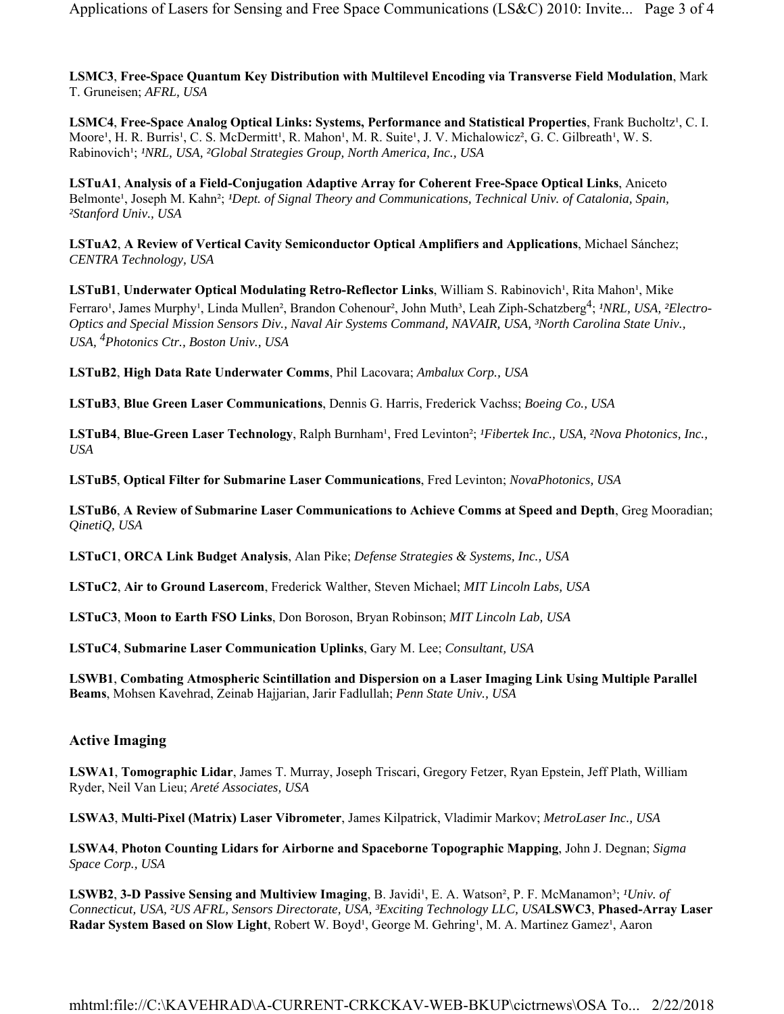**LSMC3**, **Free-Space Quantum Key Distribution with Multilevel Encoding via Transverse Field Modulation**, Mark T. Gruneisen; *AFRL, USA*

**LSMC4**, Free-Space Analog Optical Links: Systems, Performance and Statistical Properties, Frank Bucholtz<sup>1</sup>, C. I. Moore<sup>1</sup>, H. R. Burris<sup>1</sup>, C. S. McDermitt<sup>1</sup>, R. Mahon<sup>1</sup>, M. R. Suite<sup>1</sup>, J. V. Michalowicz<sup>2</sup>, G. C. Gilbreath<sup>1</sup>, W. S. Rabinovich<sup>1</sup>; <sup>*INRL, USA, <sup>2</sup>Global Strategies Group, North America, Inc., USA*</sup>

**LSTuA1**, **Analysis of a Field-Conjugation Adaptive Array for Coherent Free-Space Optical Links**, Aniceto Belmonte<sup>1</sup>, Joseph M. Kahn<sup>2</sup>; *<sup>1</sup>Dept. of Signal Theory and Communications, Technical Univ. of Catalonia, Spain, ²Stanford Univ., USA*

**LSTuA2**, **A Review of Vertical Cavity Semiconductor Optical Amplifiers and Applications**, Michael Sánchez; *CENTRA Technology, USA*

LSTuB1, Underwater Optical Modulating Retro-Reflector Links, William S. Rabinovich<sup>1</sup>, Rita Mahon<sup>1</sup>, Mike Ferraro<sup>1</sup>, James Murphy<sup>1</sup>, Linda Mullen<sup>2</sup>, Brandon Cohenour<sup>2</sup>, John Muth<sup>3</sup>, Leah Ziph-Schatzberg<sup>4</sup>; *<sup>1</sup>NRL, USA, <sup>2</sup>Electro-Optics and Special Mission Sensors Div., Naval Air Systems Command, NAVAIR, USA, ³North Carolina State Univ., USA, 4Photonics Ctr., Boston Univ., USA*

**LSTuB2**, **High Data Rate Underwater Comms**, Phil Lacovara; *Ambalux Corp., USA*

**LSTuB3**, **Blue Green Laser Communications**, Dennis G. Harris, Frederick Vachss; *Boeing Co., USA*

LSTuB4, Blue-Green Laser Technology, Ralph Burnham<sup>1</sup>, Fred Levinton<sup>2</sup>; *<sup>IFibertek Inc., USA, <sup>2</sup>Nova Photonics, Inc.*,</sup> *USA*

**LSTuB5**, **Optical Filter for Submarine Laser Communications**, Fred Levinton; *NovaPhotonics, USA*

**LSTuB6**, **A Review of Submarine Laser Communications to Achieve Comms at Speed and Depth**, Greg Mooradian; *QinetiQ, USA*

**LSTuC1**, **ORCA Link Budget Analysis**, Alan Pike; *Defense Strategies & Systems, Inc., USA*

**LSTuC2**, **Air to Ground Lasercom**, Frederick Walther, Steven Michael; *MIT Lincoln Labs, USA*

**LSTuC3**, **Moon to Earth FSO Links**, Don Boroson, Bryan Robinson; *MIT Lincoln Lab, USA*

**LSTuC4**, **Submarine Laser Communication Uplinks**, Gary M. Lee; *Consultant, USA*

**LSWB1**, **Combating Atmospheric Scintillation and Dispersion on a Laser Imaging Link Using Multiple Parallel Beams**, Mohsen Kavehrad, Zeinab Hajjarian, Jarir Fadlullah; *Penn State Univ., USA*

## **Active Imaging**

**LSWA1**, **Tomographic Lidar**, James T. Murray, Joseph Triscari, Gregory Fetzer, Ryan Epstein, Jeff Plath, William Ryder, Neil Van Lieu; *Areté Associates, USA*

**LSWA3**, **Multi-Pixel (Matrix) Laser Vibrometer**, James Kilpatrick, Vladimir Markov; *MetroLaser Inc., USA*

**LSWA4**, **Photon Counting Lidars for Airborne and Spaceborne Topographic Mapping**, John J. Degnan; *Sigma Space Corp., USA*

LSWB2, 3-D Passive Sensing and Multiview Imaging, B. Javidi<sup>1</sup>, E. A. Watson<sup>2</sup>, P. F. McManamon<sup>3</sup>; <sup>*IUniv. of*</sup> *Connecticut, USA, ²US AFRL, Sensors Directorate, USA, ³Exciting Technology LLC, USA***LSWC3**, **Phased-Array Laser**  Radar System Based on Slow Light, Robert W. Boyd<sup>1</sup>, George M. Gehring<sup>1</sup>, M. A. Martinez Gamez<sup>1</sup>, Aaron